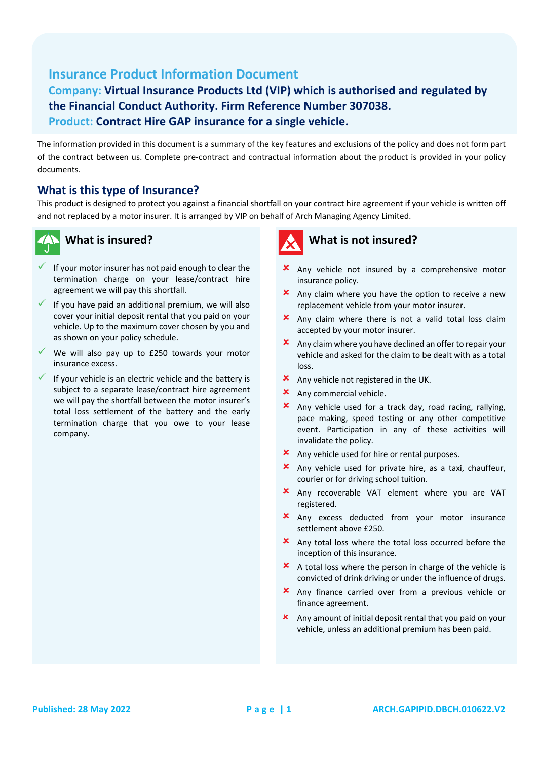# **Insurance Product Information Document**

## **Company: Virtual Insurance Products Ltd (VIP) which is authorised and regulated by the Financial Conduct Authority. Firm Reference Number 307038. Product: Contract Hire GAP insurance for a single vehicle.**

The information provided in this document is a summary of the key features and exclusions of the policy and does not form part of the contract between us. Complete pre-contract and contractual information about the product is provided in your policy documents.

#### **What is this type of Insurance?**

This product is designed to protect you against a financial shortfall on your contract hire agreement if your vehicle is written off and not replaced by a motor insurer. It is arranged by VIP on behalf of Arch Managing Agency Limited.



## **What is insured?**

- If your motor insurer has not paid enough to clear the termination charge on your lease/contract hire agreement we will pay this shortfall.
- If you have paid an additional premium, we will also cover your initial deposit rental that you paid on your vehicle. Up to the maximum cover chosen by you and as shown on your policy schedule.
- $\checkmark$  We will also pay up to £250 towards your motor insurance excess.
- If your vehicle is an electric vehicle and the battery is subject to a separate lease/contract hire agreement we will pay the shortfall between the motor insurer's total loss settlement of the battery and the early termination charge that you owe to your lease company.

# **What is not insured?**

- **x** Any vehicle not insured by a comprehensive motor insurance policy.
- Any claim where you have the option to receive a new replacement vehicle from your motor insurer.
- **x** Any claim where there is not a valid total loss claim accepted by your motor insurer.
- **x** Any claim where you have declined an offer to repair your vehicle and asked for the claim to be dealt with as a total loss.
- **x** Any vehicle not registered in the UK.
- **x** Any commercial vehicle.
- Any vehicle used for a track day, road racing, rallying, pace making, speed testing or any other competitive event. Participation in any of these activities will invalidate the policy.
- Any vehicle used for hire or rental purposes.
- Any vehicle used for private hire, as a taxi, chauffeur, courier or for driving school tuition.
- Any recoverable VAT element where you are VAT registered.
- Any excess deducted from your motor insurance settlement above £250.
- Any total loss where the total loss occurred before the inception of this insurance.
- $\overline{\mathbf{x}}$  A total loss where the person in charge of the vehicle is convicted of drink driving or under the influence of drugs.
- Any finance carried over from a previous vehicle or finance agreement.
- Any amount of initial deposit rental that you paid on your vehicle, unless an additional premium has been paid.